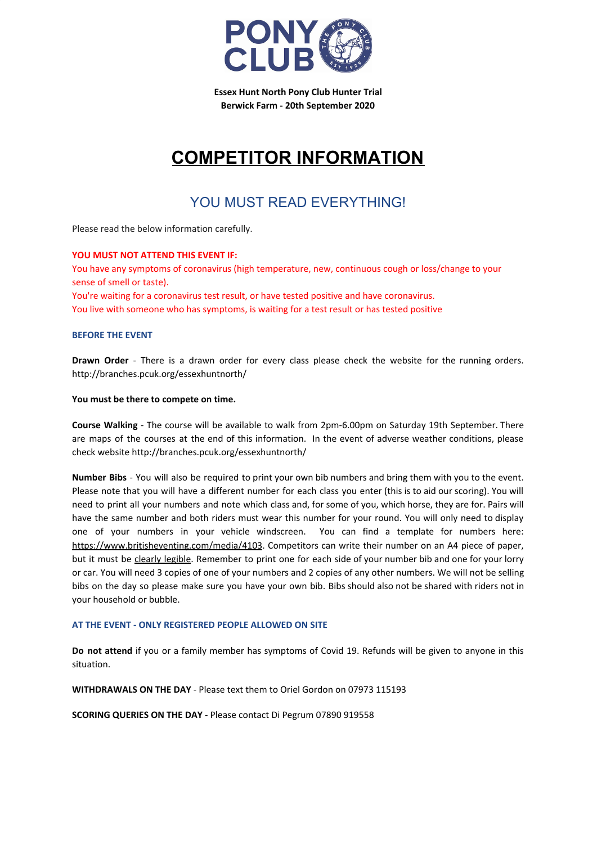

**Essex Hunt North Pony Club Hunter Trial Berwick Farm - 20th September 2020**

# **COMPETITOR INFORMATION**

### YOU MUST READ EVERYTHING!

Please read the below information carefully.

### **YOU MUST NOT ATTEND THIS EVENT IF:**

You have any symptoms of coronavirus (high temperature, new, continuous cough or loss/change to your sense of smell or taste).

You're waiting for a coronavirus test result, or have tested positive and have coronavirus. You live with someone who has symptoms, is waiting for a test result or has tested positive

### **BEFORE THE EVENT**

**Drawn Order** - There is a drawn order for every class please check the website for the running orders. http://branches.pcuk.org/essexhuntnorth/

### **You must be there to compete on time.**

**Course Walking** - The course will be available to walk from 2pm-6.00pm on Saturday 19th September. There are maps of the courses at the end of this information. In the event of adverse weather conditions, please check website http://branches.pcuk.org/essexhuntnorth/

**Number Bibs** - You will also be required to print your own bib numbers and bring them with you to the event. Please note that you will have a different number for each class you enter (this is to aid our scoring). You will need to print all your numbers and note which class and, for some of you, which horse, they are for. Pairs will have the same number and both riders must wear this number for your round. You will only need to display one of your numbers in your vehicle windscreen. You can find a template for numbers here: <https://www.britisheventing.com/media/4103>. Competitors can write their number on an A4 piece of paper, but it must be clearly legible. Remember to print one for each side of your number bib and one for your lorry or car. You will need 3 copies of one of your numbers and 2 copies of any other numbers. We will not be selling bibs on the day so please make sure you have your own bib. Bibs should also not be shared with riders not in your household or bubble.

### **AT THE EVENT - ONLY REGISTERED PEOPLE ALLOWED ON SITE**

**Do not attend** if you or a family member has symptoms of Covid 19. Refunds will be given to anyone in this situation.

**WITHDRAWALS ON THE DAY** - Please text them to Oriel Gordon on 07973 115193

**SCORING QUERIES ON THE DAY** - Please contact Di Pegrum 07890 919558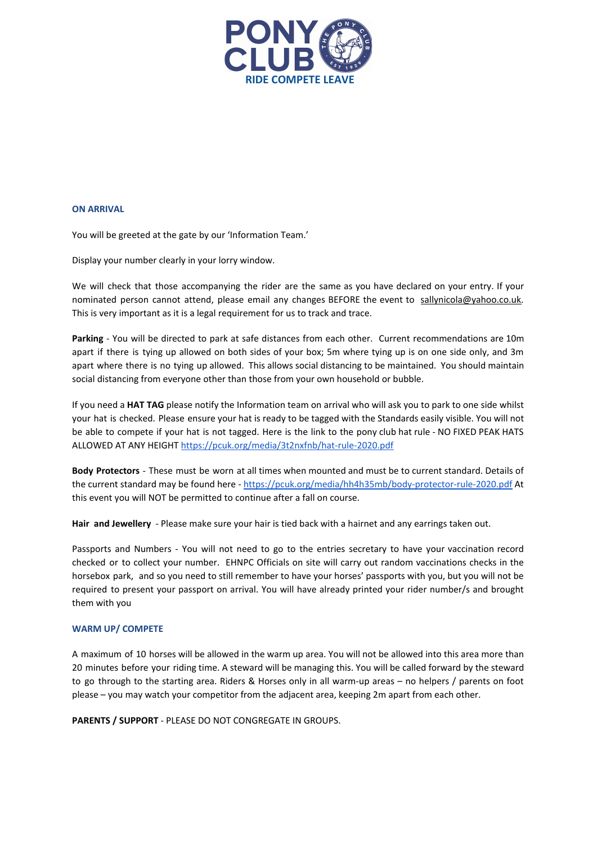

### **ON ARRIVAL**

You will be greeted at the gate by our 'Information Team.'

Display your number clearly in your lorry window.

We will check that those accompanying the rider are the same as you have declared on your entry. If your nominated person cannot attend, please email any changes BEFORE the event to [sallynicola@yahoo.co.uk](mailto:sallynicola@yahoo.co.uk). This is very important as it is a legal requirement for us to track and trace.

**Parking** - You will be directed to park at safe distances from each other. Current recommendations are 10m apart if there is tying up allowed on both sides of your box; 5m where tying up is on one side only, and 3m apart where there is no tying up allowed. This allows social distancing to be maintained. You should maintain social distancing from everyone other than those from your own household or bubble.

If you need a **HAT TAG** please notify the Information team on arrival who will ask you to park to one side whilst your hat is checked. Please ensure your hat is ready to be tagged with the Standards easily visible. You will not be able to compete if your hat is not tagged. Here is the link to the pony club hat rule - NO FIXED PEAK HATS ALLOWED AT ANY HEIGHT <https://pcuk.org/media/3t2nxfnb/hat-rule-2020.pdf>

**Body Protectors** - These must be worn at all times when mounted and must be to current standard. Details of the current standard may be found here - <https://pcuk.org/media/hh4h35mb/body-protector-rule-2020.pdf> At this event you will NOT be permitted to continue after a fall on course.

**Hair and Jewellery** - Please make sure your hair is tied back with a hairnet and any earrings taken out.

Passports and Numbers - You will not need to go to the entries secretary to have your vaccination record checked or to collect your number. EHNPC Officials on site will carry out random vaccinations checks in the horsebox park, and so you need to still remember to have your horses' passports with you, but you will not be required to present your passport on arrival. You will have already printed your rider number/s and brought them with you

#### **WARM UP/ COMPETE**

A maximum of 10 horses will be allowed in the warm up area. You will not be allowed into this area more than 20 minutes before your riding time. A steward will be managing this. You will be called forward by the steward to go through to the starting area. Riders & Horses only in all warm-up areas – no helpers / parents on foot please – you may watch your competitor from the adjacent area, keeping 2m apart from each other.

**PARENTS / SUPPORT** - PLEASE DO NOT CONGREGATE IN GROUPS.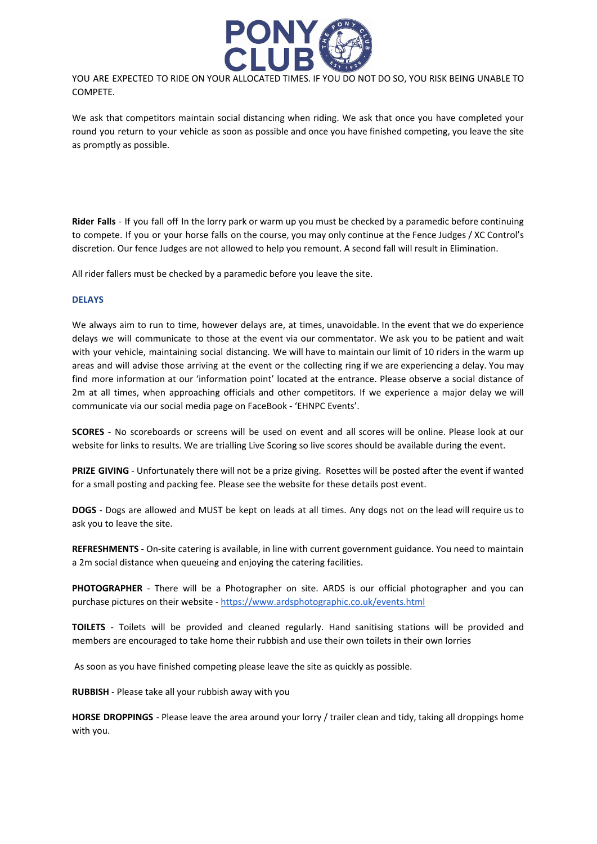

YOU ARE EXPECTED TO RIDE ON YOUR ALLOCATED TIMES. IF YOU DO NOT DO SO, YOU RISK BEING UNABLE TO COMPETE.

We ask that competitors maintain social distancing when riding. We ask that once you have completed your round you return to your vehicle as soon as possible and once you have finished competing, you leave the site as promptly as possible.

**Rider Falls** - If you fall off In the lorry park or warm up you must be checked by a paramedic before continuing to compete. If you or your horse falls on the course, you may only continue at the Fence Judges / XC Control's discretion. Our fence Judges are not allowed to help you remount. A second fall will result in Elimination.

All rider fallers must be checked by a paramedic before you leave the site.

### **DELAYS**

We always aim to run to time, however delays are, at times, unavoidable. In the event that we do experience delays we will communicate to those at the event via our commentator. We ask you to be patient and wait with your vehicle, maintaining social distancing. We will have to maintain our limit of 10 riders in the warm up areas and will advise those arriving at the event or the collecting ring if we are experiencing a delay. You may find more information at our 'information point' located at the entrance. Please observe a social distance of 2m at all times, when approaching officials and other competitors. If we experience a major delay we will communicate via our social media page on FaceBook - 'EHNPC Events'.

**SCORES** - No scoreboards or screens will be used on event and all scores will be online. Please look at our website for links to results. We are trialling Live Scoring so live scores should be available during the event.

**PRIZE GIVING** - Unfortunately there will not be a prize giving. Rosettes will be posted after the event if wanted for a small posting and packing fee. Please see the website for these details post event.

**DOGS** - Dogs are allowed and MUST be kept on leads at all times. Any dogs not on the lead will require us to ask you to leave the site.

**REFRESHMENTS** - On-site catering is available, in line with current government guidance. You need to maintain a 2m social distance when queueing and enjoying the catering facilities.

**PHOTOGRAPHER** - There will be a Photographer on site. ARDS is our official photographer and you can purchase pictures on their website - <https://www.ardsphotographic.co.uk/events.html>

**TOILETS** - Toilets will be provided and cleaned regularly. Hand sanitising stations will be provided and members are encouraged to take home their rubbish and use their own toilets in their own lorries

As soon as you have finished competing please leave the site as quickly as possible.

**RUBBISH** - Please take all your rubbish away with you

**HORSE DROPPINGS** - Please leave the area around your lorry / trailer clean and tidy, taking all droppings home with you.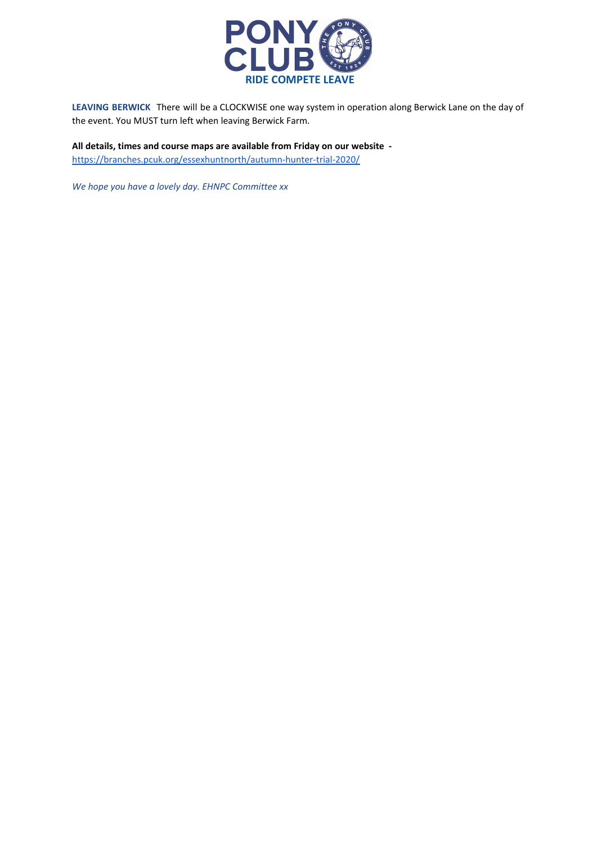

**LEAVING BERWICK** There will be a CLOCKWISE one way system in operation along Berwick Lane on the day of the event. You MUST turn left when leaving Berwick Farm.

**All details, times and course maps are available from Friday on our website**  <https://branches.pcuk.org/essexhuntnorth/autumn-hunter-trial-2020/>

*We hope you have a lovely day. EHNPC Committee xx*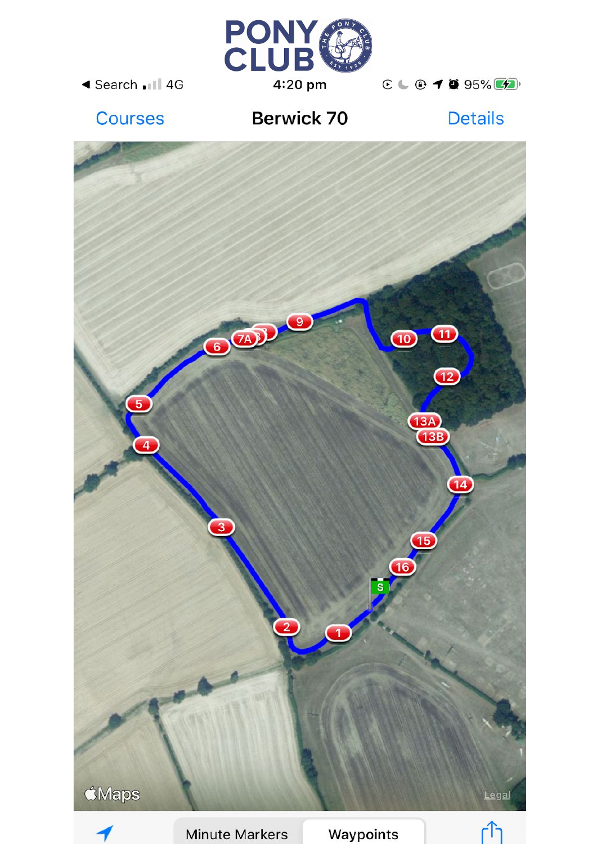

◀ Search .III 4G

 $C \subseteq T$  3 95%

## Courses

## **Berwick 70**

**Details** 





**Minute Markers** 

Waypoints

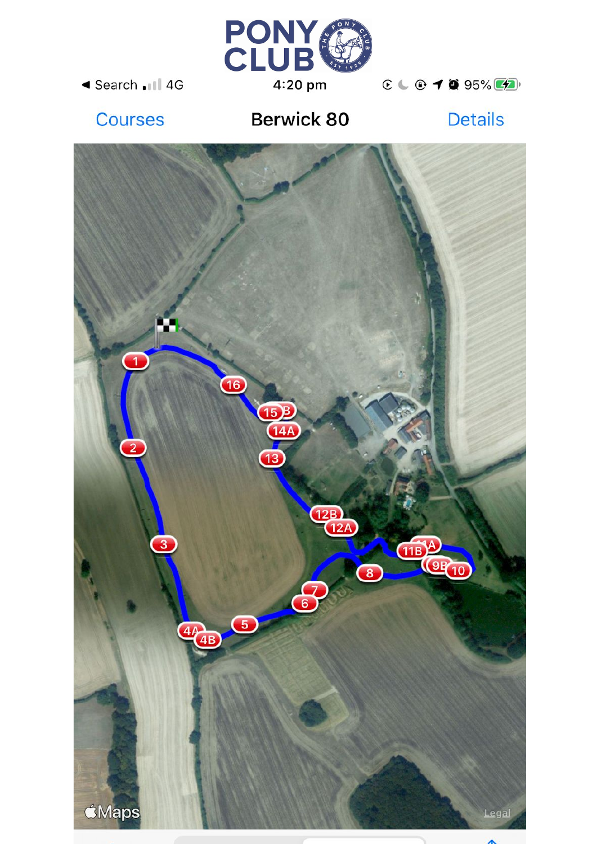

◀ Search .III 4G

 $C \cup C$  10 95%

## **Courses**

## Berwick 80

**Details** 



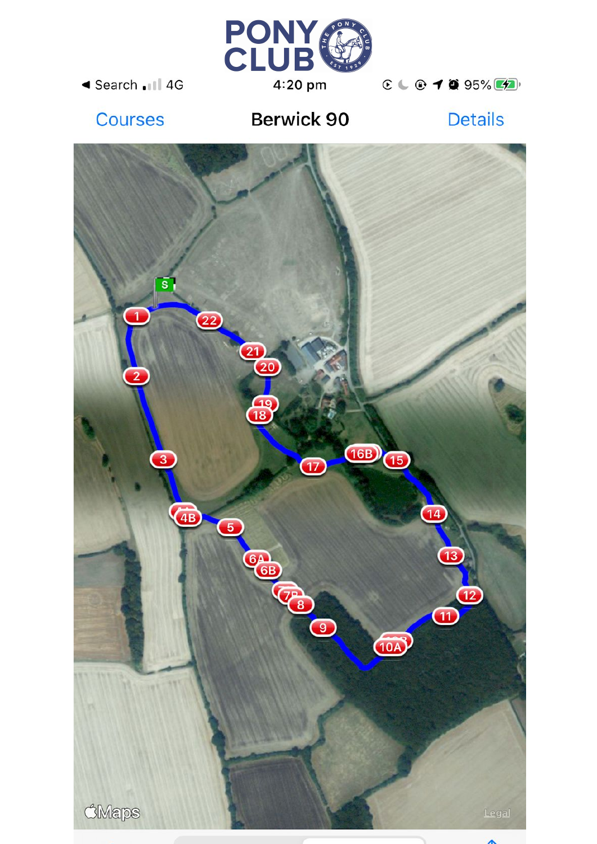

◀ Search .III 4G

 $C \cup C$  10 95%

## **Courses**

# **Berwick 90**

**Details**